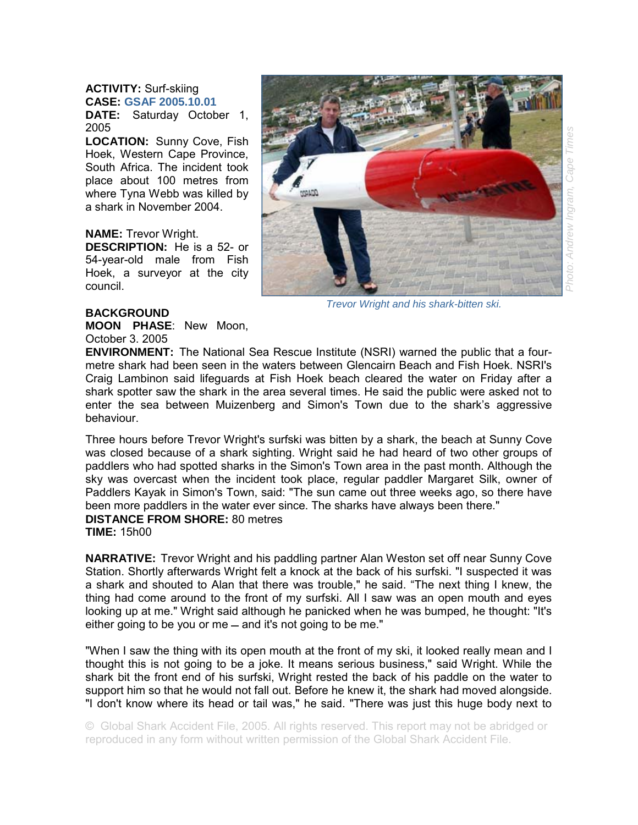## **ACTIVITY:** Surf-skiing **CASE: GSAF 2005.10.01**

**DATE:** Saturday October 1, 2005

**LOCATION:** Sunny Cove, Fish Hoek, Western Cape Province, South Africa. The incident took place about 100 metres from where Tyna Webb was killed by a shark in November 2004.

**NAME:** Trevor Wright.

**DESCRIPTION:** He is a 52- or 54-year-old male from Fish Hoek, a surveyor at the city council.



*Trevor Wright and his shark-bitten ski.*

## **BACKGROUND**

**MOON PHASE**: New Moon, October 3. 2005

**ENVIRONMENT:** The National Sea Rescue Institute (NSRI) warned the public that a fourmetre shark had been seen in the waters between Glencairn Beach and Fish Hoek. NSRI's Craig Lambinon said lifeguards at Fish Hoek beach cleared the water on Friday after a shark spotter saw the shark in the area several times. He said the public were asked not to enter the sea between Muizenberg and Simon's Town due to the shark's aggressive behaviour.

Three hours before Trevor Wright's surfski was bitten by a shark, the beach at Sunny Cove was closed because of a shark sighting. Wright said he had heard of two other groups of paddlers who had spotted sharks in the Simon's Town area in the past month. Although the sky was overcast when the incident took place, regular paddler Margaret Silk, owner of Paddlers Kayak in Simon's Town, said: "The sun came out three weeks ago, so there have been more paddlers in the water ever since. The sharks have always been there." **DISTANCE FROM SHORE:** 80 metres

**TIME:** 15h00

**NARRATIVE:** Trevor Wright and his paddling partner Alan Weston set off near Sunny Cove Station. Shortly afterwards Wright felt a knock at the back of his surfski. "I suspected it was a shark and shouted to Alan that there was trouble," he said. "The next thing I knew, the thing had come around to the front of my surfski. All I saw was an open mouth and eyes looking up at me." Wright said although he panicked when he was bumped, he thought: "It's either going to be you or me  $-$  and it's not going to be me."

"When I saw the thing with its open mouth at the front of my ski, it looked really mean and I thought this is not going to be a joke. It means serious business," said Wright. While the shark bit the front end of his surfski, Wright rested the back of his paddle on the water to support him so that he would not fall out. Before he knew it, the shark had moved alongside. "I don't know where its head or tail was," he said. "There was just this huge body next to

© Global Shark Accident File, 2005. All rights reserved. This report may not be abridged or reproduced in any form without written permission of the Global Shark Accident File.